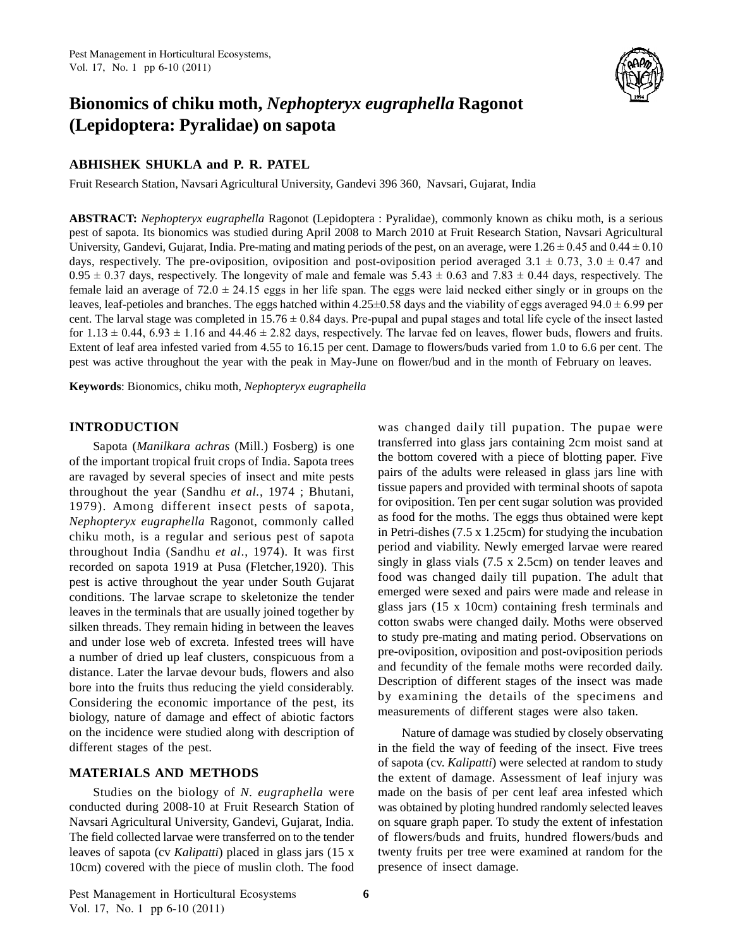

# **Bionomics of chiku moth,** *Nephopteryx eugraphella* **Ragonot (Lepidoptera: Pyralidae) on sapota**

# **ABHISHEK SHUKLA and P. R. PATEL**

Fruit Research Station, Navsari Agricultural University, Gandevi 396 360, Navsari, Gujarat, India

**ABSTRACT:** *Nephopteryx eugraphella* Ragonot (Lepidoptera : Pyralidae), commonly known as chiku moth, is a serious pest of sapota. Its bionomics was studied during April 2008 to March 2010 at Fruit Research Station, Navsari Agricultural ABSTRACT: *Nephopteryx eugraphella* Ragonot (Lepidoptera : Pyralidae), commonly known as chiku moth, is a serious<br>pest of sapota. Its bionomics was studied during April 2008 to March 2010 at Fruit Research Station, Navsari pest of sapota. Its bionomics was studied during April 2008 to March 2010 at Fruit Research Station, Navsari Agricultural<br>University, Gandevi, Gujarat, India. Pre-mating and mating periods of the pest, on an average, were University, Gandevi, Gujarat, India. Pre-mating and mating periods of the pest, on an average, were  $1.26 \pm 0.45$  and  $0.44 \pm 0.10$  days, respectively. The pre-oviposition, oviposition and post-oviposition period averaged days, respectively. The pre-oviposition, oviposition and post-oviposition period averaged  $3.1 \pm 0.73$ ,  $3.0 \pm 0.47$  and  $0.95 \pm 0.37$  days, respectively. The longevity of male and female was  $5.43 \pm 0.63$  and  $7.83 \pm 0.4$  $0.95 \pm 0.37$  days, respectively. The longevity of male and female was  $5.43 \pm 0.63$  and  $7.83 \pm 0.44$  days, respectively. The female laid an average of  $72.0 \pm 24.15$  eggs in her life span. The eggs were laid necked eith female laid an average of  $72.0 \pm 24.15$  eggs in her life span. The eggs were laid necked either singly or in groups on the leaves, leaf-petioles and branches. The eggs hatched within  $4.25 \pm 0.58$  days and the viability leaves, leaf-petioles and branches. The eggs hatched within  $4.25\pm0.58$  days and the viability of eggs averaged  $94.0\pm6.99$  per<br>cent. The larval stage was completed in  $15.76\pm0.84$  days. Pre-pupal and pupal stages and Extent of leaf area infested varied from 4.55 to 16.15 per cent. Damage to flowers/buds varied from 1.0 to 6.6 per cent. The pest was active throughout the year with the peak in May-June on flower/bud and in the month of February on leaves.

**Keywords**: Bionomics, chiku moth, *Nephopteryx eugraphella*

# **INTRODUCTION**

Sapota (*Manilkara achras* (Mill.) Fosberg) is one of the important tropical fruit crops of India. Sapota trees are ravaged by several species of insect and mite pests throughout the year (Sandhu *et al.*, 1974 ; Bhutani, 1979). Among different insect pests of sapota, *Nephopteryx eugraphella* Ragonot, commonly called chiku moth, is a regular and serious pest of sapota throughout India (Sandhu *et al*., 1974). It was first recorded on sapota 1919 at Pusa (Fletcher,1920). This pest is active throughout the year under South Gujarat conditions. The larvae scrape to skeletonize the tender leaves in the terminals that are usually joined together by silken threads. They remain hiding in between the leaves and under lose web of excreta. Infested trees will have a number of dried up leaf clusters, conspicuous from a distance. Later the larvae devour buds, flowers and also bore into the fruits thus reducing the yield considerably. Considering the economic importance of the pest, its biology, nature of damage and effect of abiotic factors on the incidence were studied along with description of different stages of the pest.

### **MATERIALS AND METHODS**

Studies on the biology of *N. eugraphella* were conducted during 2008-10 at Fruit Research Station of Navsari Agricultural University, Gandevi, Gujarat, India. The field collected larvae were transferred on to the tender leaves of sapota (cv *Kalipatti*) placed in glass jars (15 x 10cm) covered with the piece of muslin cloth. The food present<br>Pest Management in Horticultural Ecosystems 6

was changed daily till pupation. The pupae were transferred into glass jars containing 2cm moist sand at the bottom covered with a piece of blotting paper. Five pairs of the adults were released in glass jars line with tissue papers and provided with terminal shoots of sapota for oviposition. Ten per cent sugar solution was provided as food for the moths. The eggs thus obtained were kept in Petri-dishes (7.5 x 1.25cm) for studying the incubation period and viability. Newly emerged larvae were reared singly in glass vials (7.5 x 2.5cm) on tender leaves and food was changed daily till pupation. The adult that emerged were sexed and pairs were made and release in glass jars (15 x 10cm) containing fresh terminals and cotton swabs were changed daily. Moths were observed to study pre-mating and mating period. Observations on pre-oviposition, oviposition and post-oviposition periods and fecundity of the female moths were recorded daily. Description of different stages of the insect was made by examining the details of the specimens and measurements of different stages were also taken.

Nature of damage was studied by closely observating in the field the way of feeding of the insect. Five trees of sapota (cv. *Kalipatti*) were selected at random to study the extent of damage. Assessment of leaf injury was made on the basis of per cent leaf area infested which was obtained by ploting hundred randomly selected leaves on square graph paper. To study the extent of infestation of flowers/buds and fruits, hundred flowers/buds and twenty fruits per tree were examined at random for the presence of insect damage.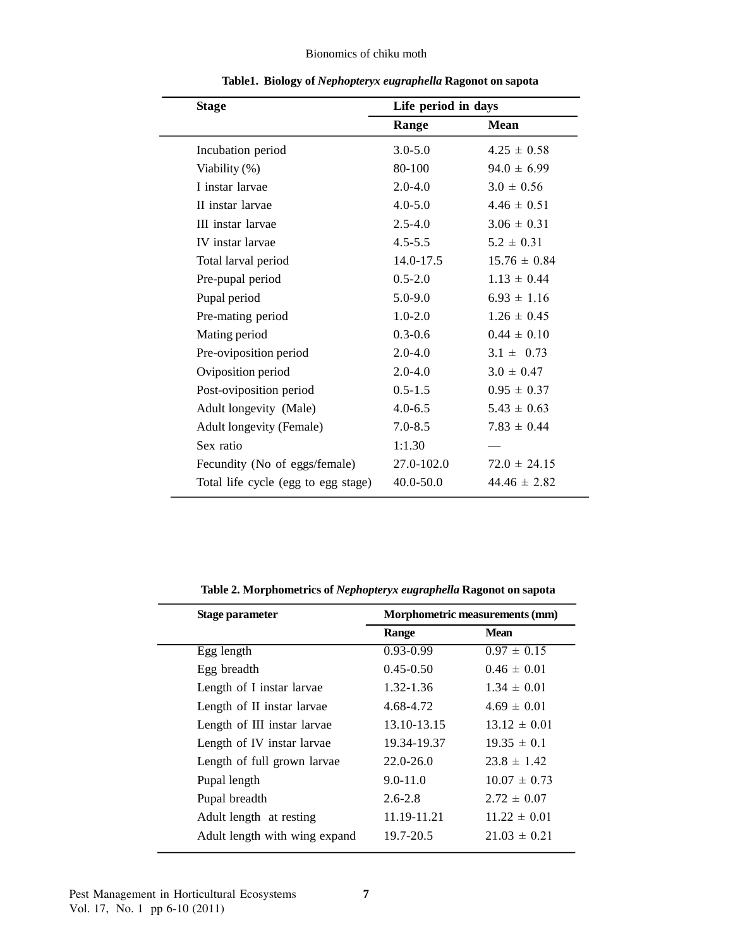# Bionomics of chiku moth

| <b>Stage</b>                        | Life period in days |                  |  |
|-------------------------------------|---------------------|------------------|--|
|                                     | Range               | <b>Mean</b>      |  |
| Incubation period                   | $3.0 - 5.0$         | $4.25 \pm 0.58$  |  |
| Viability (%)                       | 80-100              | $94.0 \pm 6.99$  |  |
| I instar larvae                     | $2.0 - 4.0$         | $3.0 \pm 0.56$   |  |
| II instar larvae                    | $4.0 - 5.0$         | $4.46 \pm 0.51$  |  |
| III instar larvae                   | $2.5 - 4.0$         | $3.06 \pm 0.31$  |  |
| IV instar larvae                    | $4.5 - 5.5$         | $5.2 \pm 0.31$   |  |
| Total larval period                 | 14.0-17.5           | $15.76 \pm 0.84$ |  |
| Pre-pupal period                    | $0.5 - 2.0$         | $1.13 \pm 0.44$  |  |
| Pupal period                        | $5.0 - 9.0$         | $6.93 \pm 1.16$  |  |
| Pre-mating period                   | $1.0 - 2.0$         | $1.26 \pm 0.45$  |  |
| Mating period                       | $0.3 - 0.6$         | $0.44 \pm 0.10$  |  |
| Pre-oviposition period              | $2.0 - 4.0$         | $3.1 \pm 0.73$   |  |
| Oviposition period                  | $2.0 - 4.0$         | $3.0 \pm 0.47$   |  |
| Post-oviposition period             | $0.5 - 1.5$         | $0.95 \pm 0.37$  |  |
| Adult longevity (Male)              | $4.0 - 6.5$         | $5.43 \pm 0.63$  |  |
| <b>Adult longevity (Female)</b>     | $7.0 - 8.5$         | $7.83 \pm 0.44$  |  |
| Sex ratio                           | 1:1.30              |                  |  |
| Fecundity (No of eggs/female)       | 27.0-102.0          | $72.0 \pm 24.15$ |  |
| Total life cycle (egg to egg stage) | 40.0-50.0           | $44.46 \pm 2.82$ |  |
|                                     |                     |                  |  |

**Table1. Biology of** *Nephopteryx eugraphella* **Ragonot on sapota**

| Stage parameter               | Morphometric measurements (mm) |                  |  |
|-------------------------------|--------------------------------|------------------|--|
|                               | Range                          | <b>Mean</b>      |  |
| Egg length                    | $0.93 - 0.99$                  | $0.97 \pm 0.15$  |  |
| Egg breadth                   | $0.45 - 0.50$                  | $0.46 \pm 0.01$  |  |
| Length of I instar larvae     | $1.32 - 1.36$                  | $1.34 \pm 0.01$  |  |
| Length of II instar larvae    | 4.68-4.72                      | $4.69 \pm 0.01$  |  |
| Length of III instar larvae   | 13.10-13.15                    | $13.12 \pm 0.01$ |  |
| Length of IV instar larvae    | 19.34-19.37                    | $19.35 \pm 0.1$  |  |
| Length of full grown larvae   | $22.0 - 26.0$                  | $23.8 \pm 1.42$  |  |
| Pupal length                  | $9.0 - 11.0$                   | $10.07 \pm 0.73$ |  |
| Pupal breadth                 | $2.6 - 2.8$                    | $2.72 \pm 0.07$  |  |
| Adult length at resting       | 11.19-11.21                    | $11.22 \pm 0.01$ |  |
| Adult length with wing expand | 19.7-20.5                      | $21.03 \pm 0.21$ |  |

**Table 2. Morphometrics of** *Nephopteryx eugraphella* **Ragonot on sapota**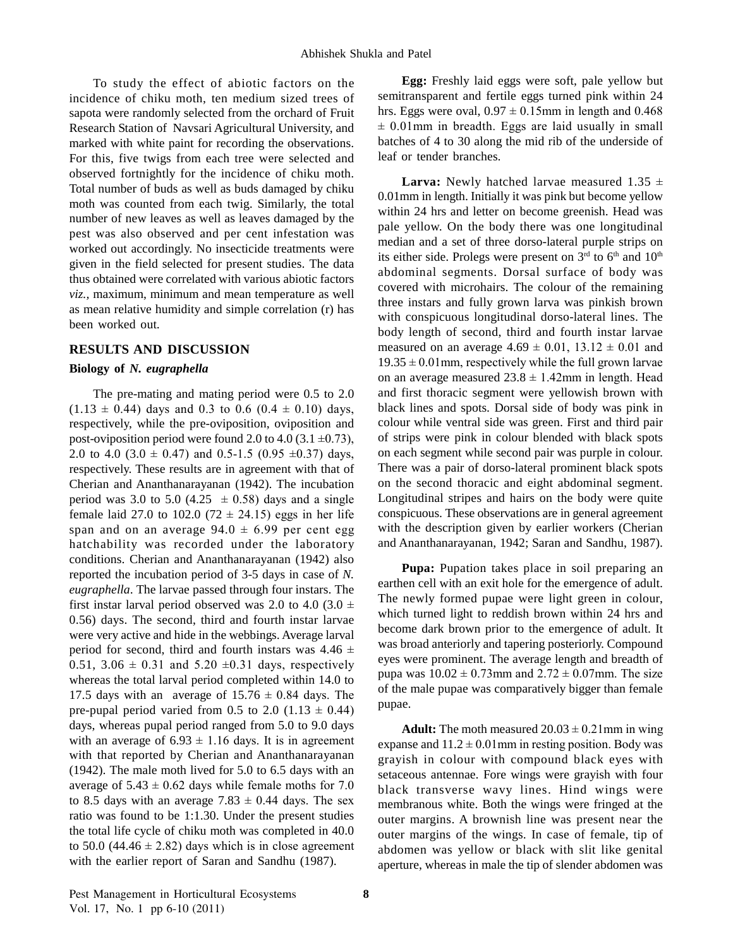To study the effect of abiotic factors on the incidence of chiku moth, ten medium sized trees of sapota were randomly selected from the orchard of Fruit hrs. Eggs were oval,  $0.97 \pm 0.15$  mm in length and 0.468<br>Research Station of Navsari Agricultural University and  $\pm 0.01$  mm in breadth. Eggs are laid usually in s Research Station of Navsari Agricultural University, and marked with white paint for recording the observations. For this, five twigs from each tree were selected and observed fortnightly for the incidence of chiku moth. Total number of buds as well as buds damaged by chiku moth was counted from each twig. Similarly, the total number of new leaves as well as leaves damaged by the pest was also observed and per cent infestation was worked out accordingly. No insecticide treatments were given in the field selected for present studies. The data thus obtained were correlated with various abiotic factors *viz.,* maximum, minimum and mean temperature as well as mean relative humidity and simple correlation (r) has been worked out.

#### **RESULTS AND DISCUSSION**

#### **Biology of***N. eugraphella*

The pre-mating and mating period were 0.5 to 2.0 The pre-mating and mating period were 0.5 to 2.0<br>(1.13  $\pm$  0.44) days and 0.3 to 0.6 (0.4  $\pm$  0.10) days, respectively, while the pre-oviposition, oviposition and  $(1.13 \pm 0.44)$  days and 0.3 to 0.6  $(0.4 \pm 0.10)$  days, respectively, while the pre-oviposition, oviposition and post-oviposition period were found 2.0 to 4.0 (3.1 ±0.73), post-oviposition period were found 2.0 to 4.0 (3.1  $\pm$ 0.73),<br>2.0 to 4.0 (3.0  $\pm$  0.47) and 0.5-1.5 (0.95  $\pm$ 0.37) days, respectively. These results are in agreement with that of Cherian and Ananthanarayanan (1942). The incubation respectively. These results are in agreement with that of The<br>Cherian and Ananthanarayanan (1942). The incubation on<br>period was 3.0 to 5.0 (4.25  $\pm$  0.58) days and a single Lor Cherian and Ananthanarayanan (1942). The incubation on<br>period was 3.0 to 5.0 (4.25  $\pm$  0.58) days and a single Lor<br>female laid 27.0 to 102.0 (72  $\pm$  24.15) eggs in her life con period was 3.0 to 5.0 (4.25  $\pm$  0.58) days and a single Long<br>female laid 27.0 to 102.0 (72  $\pm$  24.15) eggs in her life cons<br>span and on an average 94.0  $\pm$  6.99 per cent egg with hatchability was recorded under the laboratory conditions. Cherian and Ananthanarayanan (1942) also reported the incubation period of 3-5 days in case of *N. eugraphella*. The larvae passed through four instars. The first instar larval period observed was 2.0 to 4.0 (3.0  $\pm$ 0.56) days. The second, third and fourth instar larvae were very active and hide in the webbings. Average larval 0.56) days. The second, third and fourth instar larvae<br>were very active and hide in the webbings. Average larval<br>period for second, third and fourth instars was  $4.46 \pm$  was b were very active and hide in the webbings. Average larval<br>period for second, third and fourth instars was  $4.46 \pm 0.51$ ,  $3.06 \pm 0.31$  and  $5.20 \pm 0.31$  days, respectively whereas the total larval period completed within 14.0 to 0.51, 3.06  $\pm$  0.31 and 5.20  $\pm$ 0.31 days, respectively<br>whereas the total larval period completed within 14.0 to pur<br>17.5 days with an average of 15.76  $\pm$  0.84 days. The of t whereas the total larval period completed within 14.0 to <br>17.5 days with an average of  $15.76 \pm 0.84$  days. The <br>pre-pupal period varied from 0.5 to 2.0 (1.13  $\pm$  0.44) days, whereas pupal period ranged from 5.0 to 9.0 days pre-pupal period varied from 0.5 to 2.0 (1.13  $\pm$  0.44) days, whereas pupal period ranged from 5.0 to 9.0 days with an average of 6.93  $\pm$  1.16 days. It is in agreement with that reported by Cherian and Ananthanarayanan gray<br>
(1942). The male moth lived for 5.0 to 6.5 days with an setad<br>
average of 5.43 ± 0.62 days while female moths for 7.0 (1942). The male moth lived for 5.0 to 6.5 days with an setal average of 5.43  $\pm$  0.62 days while female moths for 7.0 black to 8.5 days with an average 7.83  $\pm$  0.44 days. The sex mem ratio was found to be 1:1.30. Under the present studies the total life cycle of chiku moth was completed in  $40.0$  outerratio was found to be 1:1.30. Under the present studies<br>the total life cycle of chiku moth was completed in 40.0<br>to 50.0 (44.46  $\pm$  2.82) days which is in close agreement with the earlier report of Saran and Sandhu (1987).

**Egg:** Freshly laid eggs were soft, pale yellow but semitransparent and fertile eggs turned pink within 24 **Egg:** Freshly laid eggs were soft, pale yellow but semitransparent and fertile eggs turned pink within 24 hrs. Eggs were oval,  $0.97 \pm 0.15$ mm in length and 0.468 mitransparent and fertile eggs turned pink within 24<br>s. Eggs were oval,  $0.97 \pm 0.15$ mm in length and 0.468<br>0.01mm in breadth. Eggs are laid usually in small batches of 4 to 30 along the mid rib of the underside of leaf or tender branches.

**Larva:** Newly hatched larvae measured  $1.35 \pm$ 0.01mm in length. Initially it was pink but become yellow within 24 hrs and letter on become greenish. Head was pale yellow. On the body there was one longitudinal median and a set of three dorso-lateral purple strips on its either side. Prolegs were present on  $3<sup>rd</sup>$  to  $6<sup>th</sup>$  and  $10<sup>th</sup>$ abdominal segments. Dorsal surface of body was covered with microhairs. The colour of the remaining three instars and fully grown larva was pinkish brown with conspicuous longitudinal dorso-lateral lines. The body length of second, third and fourth instar larvae with conspicuous longitudinal dorso-lateral lines. The<br>body length of second, third and fourth instar larvae<br>measured on an average  $4.69 \pm 0.01$ ,  $13.12 \pm 0.01$  and body length of second, third and fourth instar larvae<br>measured on an average  $4.69 \pm 0.01$ ,  $13.12 \pm 0.01$  and<br> $19.35 \pm 0.01$ mm, respectively while the full grown larvae measured on an average  $4.69 \pm 0.01$ ,  $13.12 \pm 0.01$  and  $19.35 \pm 0.01$  mm, respectively while the full grown larvae on an average measured  $23.8 \pm 1.42$  mm in length. Head and first thoracic segment were yellowish brown with black lines and spots. Dorsal side of body was pink in colour while ventral side was green. First and third pair of strips were pink in colour blended with black spots on each segment while second pair was purple in colour. There was a pair of dorso-lateral prominent black spots on the second thoracic and eight abdominal segment. Longitudinal stripes and hairs on the body were quite conspicuous. These observations are in general agreement with the description given by earlier workers (Cherian and Ananthanarayanan, 1942; Saran and Sandhu, 1987).

**Pupa:** Pupation takes place in soil preparing an earthen cell with an exit hole for the emergence of adult. The newly formed pupae were light green in colour, which turned light to reddish brown within 24 hrs and become dark brown prior to the emergence of adult. It was broad anteriorly and tapering posteriorly. Compound eyes were prominent. The average length and breadth of pupa was  $10.02 \pm 0.73$ mm and  $2.72 \pm 0.07$ mm. The size of the male pupae was comparatively bigger than female pupae.

**Adult:** The moth measured  $20.03 \pm 0.21$  mm in wing expanse and  $11.2 \pm 0.01$  mm in resting position. Body was grayish in colour with compound black eyes with setaceous antennae. Fore wings were grayish with four black transverse wavy lines. Hind wings were membranous white. Both the wings were fringed at the outer margins. A brownish line was present near the outer margins of the wings. In case of female, tip of abdomen was yellow or black with slit like genital aperture, whereas in male the tip of slender abdomen was

the earlier report of Saran and Sandhu (1987). apertur<br>Management in Horticultural Ecosystems **8** Management in Horticultural Ec<br>17, No. 1 pp 6-10 (2011)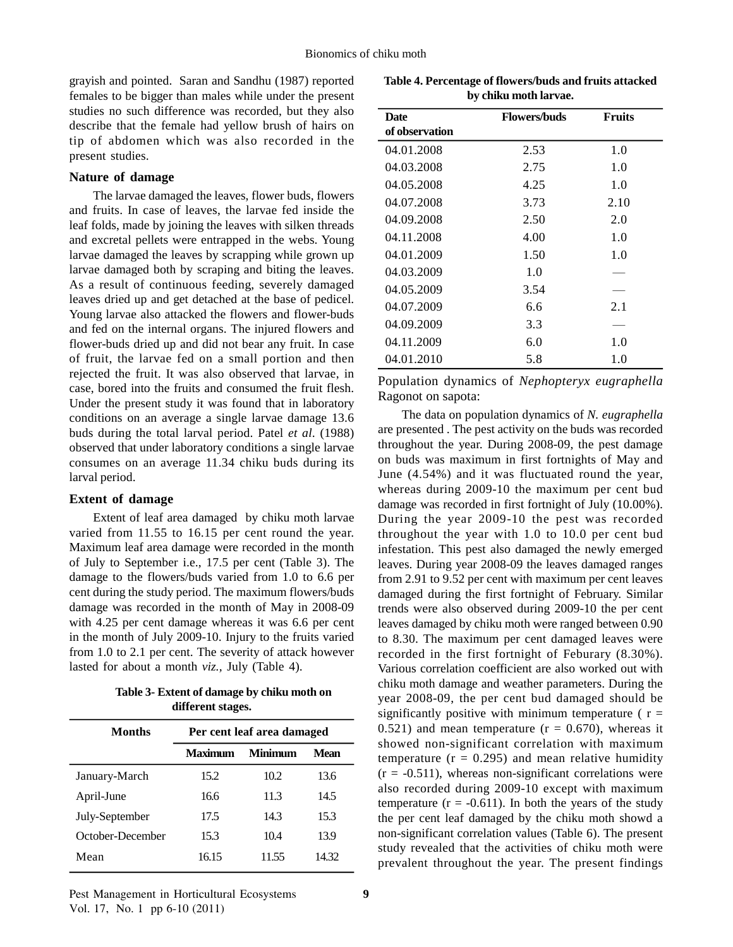grayish and pointed. Saran and Sandhu (1987) reported females to be bigger than males while under the present studies no such difference was recorded, but they also describe that the female had yellow brush of hairs on tip of abdomen which was also recorded in the present studies.

# **Nature of damage**

The larvae damaged the leaves, flower buds, flowers and fruits. In case of leaves, the larvae fed inside the leaf folds, made by joining the leaves with silken threads and excretal pellets were entrapped in the webs. Young larvae damaged the leaves by scrapping while grown up larvae damaged both by scraping and biting the leaves. As a result of continuous feeding, severely damaged leaves dried up and get detached at the base of pedicel. Young larvae also attacked the flowers and flower-buds and fed on the internal organs. The injured flowers and flower-buds dried up and did not bear any fruit. In case of fruit, the larvae fed on a small portion and then rejected the fruit. It was also observed that larvae, in case, bored into the fruits and consumed the fruit flesh. Under the present study it was found that in laboratory conditions on an average a single larvae damage 13.6 buds during the total larval period. Patel *et al*. (1988) observed that under laboratory conditions a single larvae consumes on an average 11.34 chiku buds during its larval period.

# **Extent of damage**

Extent of leaf area damaged by chiku moth larvae varied from 11.55 to 16.15 per cent round the year. Maximum leaf area damage were recorded in the month of July to September i.e., 17.5 per cent (Table 3). The damage to the flowers/buds varied from 1.0 to 6.6 per cent during the study period. The maximum flowers/buds damage was recorded in the month of May in 2008-09 with 4.25 per cent damage whereas it was 6.6 per cent in the month of July 2009-10. Injury to the fruits varied from 1.0 to 2.1 per cent. The severity of attack however lasted for about a month *viz.,* July (Table 4).

**Table 3- Extent of damage by chiku moth on different stages.**

| <b>Months</b>    | Per cent leaf area damaged |                |             |
|------------------|----------------------------|----------------|-------------|
|                  | <b>Maximum</b>             | <b>Minimum</b> | <b>Mean</b> |
| January-March    | 15.2                       | 10.2           | 13.6        |
| April-June       | 16.6                       | 11.3           | 14.5        |
| July-September   | 17.5                       | 14.3           | 15.3        |
| October-December | 15.3                       | 10.4           | 13.9        |
| Mean             | 16.15                      | 11.55          | 14.32       |

**Table 4. Percentage of flowers/buds and fruits attacked by chiku moth larvae.**

| Date           | <b>Flowers/buds</b> | <b>Fruits</b> |
|----------------|---------------------|---------------|
| of observation |                     |               |
| 04.01.2008     | 2.53                | 1.0           |
| 04.03.2008     | 2.75                | 1.0           |
| 04.05.2008     | 4.25                | 1.0           |
| 04.07.2008     | 3.73                | 2.10          |
| 04.09.2008     | 2.50                | 2.0           |
| 04.11.2008     | 4.00                | 1.0           |
| 04.01.2009     | 1.50                | 1.0           |
| 04.03.2009     | 1.0                 |               |
| 04.05.2009     | 3.54                |               |
| 04.07.2009     | 6.6                 | 2.1           |
| 04.09.2009     | 3.3                 |               |
| 04.11.2009     | 6.0                 | 1.0           |
| 04.01.2010     | 5.8                 | 1.0           |

Population dynamics of *Nephopteryx eugraphella* Ragonot on sapota:

The data on population dynamics of *N. eugraphella* are presented . The pest activity on the buds was recorded throughout the year. During 2008-09, the pest damage on buds was maximum in first fortnights of May and June (4.54%) and it was fluctuated round the year, whereas during 2009-10 the maximum per cent bud damage was recorded in first fortnight of July (10.00%). During the year 2009-10 the pest was recorded throughout the year with 1.0 to 10.0 per cent bud infestation. This pest also damaged the newly emerged leaves. During year 2008-09 the leaves damaged ranges from 2.91 to 9.52 per cent with maximum per cent leaves damaged during the first fortnight of February. Similar trends were also observed during 2009-10 the per cent leaves damaged by chiku moth were ranged between 0.90 to 8.30. The maximum per cent damaged leaves were recorded in the first fortnight of Feburary (8.30%). Various correlation coefficient are also worked out with chiku moth damage and weather parameters. During the year 2008-09, the per cent bud damaged should be significantly positive with minimum temperature ( $r =$ 0.521) and mean temperature  $(r = 0.670)$ , whereas it showed non-significant correlation with maximum temperature  $(r = 0.295)$  and mean relative humidity  $(r = -0.511)$ , whereas non-significant correlations were also recorded during 2009-10 except with maximum temperature  $(r = -0.611)$ . In both the years of the study the per cent leaf damaged by the chiku moth showd a non-significant correlation values (Table 6).The present study revealed that the activities of chiku moth were prevalent throughout the year. The present findings